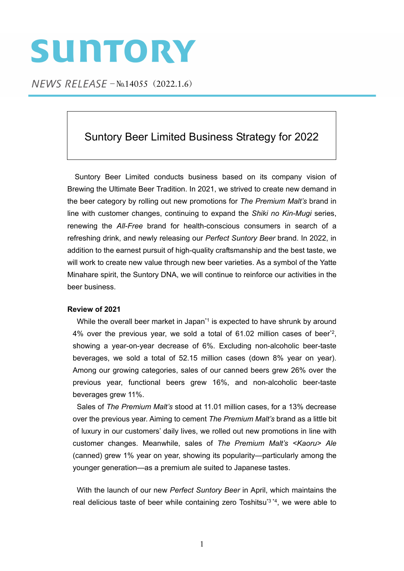# SUNTORY

 $NEWS$  RELEASE  $-N_0.14055$  (2022.1.6)

## Suntory Beer Limited Business Strategy for 2022

Suntory Beer Limited conducts business based on its company vision of Brewing the Ultimate Beer Tradition. In 2021, we strived to create new demand in the beer category by rolling out new promotions for *The Premium Malt's* brand in line with customer changes, continuing to expand the *Shiki no Kin-Mugi* series, renewing the *All-Free* brand for health-conscious consumers in search of a refreshing drink, and newly releasing our *Perfect Suntory Beer* brand. In 2022, in addition to the earnest pursuit of high-quality craftsmanship and the best taste, we will work to create new value through new beer varieties. As a symbol of the Yatte Minahare spirit, the Suntory DNA, we will continue to reinforce our activities in the beer business.

### **Review of 2021**

While the overall beer market in Japan<sup>\*1</sup> is expected to have shrunk by around 4% over the previous year, we sold a total of 61.02 million cases of beer\*2, showing a year-on-year decrease of 6%. Excluding non-alcoholic beer-taste beverages, we sold a total of 52.15 million cases (down 8% year on year). Among our growing categories, sales of our canned beers grew 26% over the previous year, functional beers grew 16%, and non-alcoholic beer-taste beverages grew 11%.

Sales of *The Premium Malt's* stood at 11.01 million cases, for a 13% decrease over the previous year. Aiming to cement *The Premium Malt's* brand as a little bit of luxury in our customers' daily lives, we rolled out new promotions in line with customer changes. Meanwhile, sales of *The Premium Malt's <Kaoru> Ale* (canned) grew 1% year on year, showing its popularity—particularly among the younger generation—as a premium ale suited to Japanese tastes.

With the launch of our new *Perfect Suntory Beer* in April, which maintains the real delicious taste of beer while containing zero Toshitsu<sup>\*3 \*4</sup>, we were able to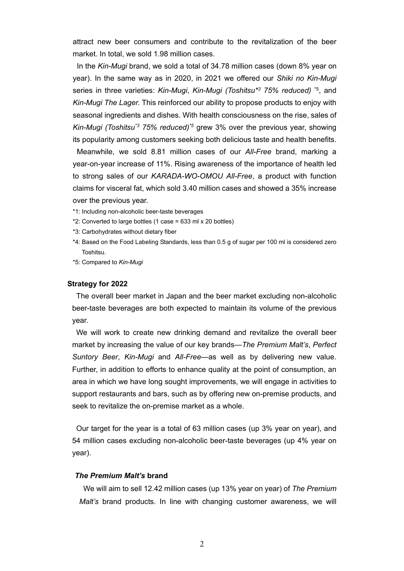attract new beer consumers and contribute to the revitalization of the beer market. In total, we sold 1.98 million cases.

In the *Kin-Mugi* brand, we sold a total of 34.78 million cases (down 8% year on year). In the same way as in 2020, in 2021 we offered our *Shiki no Kin-Mugi* series in three varieties: *Kin-Mugi*, *Kin-Mugi (Toshitsu\*3 75% reduced)* \*5, and *Kin-Mugi The Lager.* This reinforced our ability to propose products to enjoy with seasonal ingredients and dishes. With health consciousness on the rise, sales of *Kin-Mugi (Toshitsu\*3 75% reduced)\*5* grew 3% over the previous year, showing its popularity among customers seeking both delicious taste and health benefits.

Meanwhile, we sold 8.81 million cases of our *All-Free* brand, marking a year-on-year increase of 11%. Rising awareness of the importance of health led to strong sales of our *KARADA-WO-OMOU All-Free*, a product with function claims for visceral fat, which sold 3.40 million cases and showed a 35% increase over the previous year.

- \*1: Including non-alcoholic beer-taste beverages
- \*2: Converted to large bottles (1 case = 633 ml x 20 bottles)
- \*3: Carbohydrates without dietary fiber
- \*4: Based on the Food Labeling Standards, less than 0.5 g of sugar per 100 ml is considered zero Toshitsu.
- \*5: Compared to *Kin-Mugi*

#### **Strategy for 2022**

The overall beer market in Japan and the beer market excluding non-alcoholic beer-taste beverages are both expected to maintain its volume of the previous year.

We will work to create new drinking demand and revitalize the overall beer market by increasing the value of our key brands—*The Premium Malt's*, *Perfect Suntory Beer*, *Kin-Mugi* and *All-Free*—as well as by delivering new value. Further, in addition to efforts to enhance quality at the point of consumption, an area in which we have long sought improvements, we will engage in activities to support restaurants and bars, such as by offering new on-premise products, and seek to revitalize the on-premise market as a whole.

Our target for the year is a total of 63 million cases (up 3% year on year), and 54 million cases excluding non-alcoholic beer-taste beverages (up 4% year on year).

#### *The Premium Malt's* **brand**

We will aim to sell 12.42 million cases (up 13% year on year) of *The Premium Malt's* brand products. In line with changing customer awareness, we will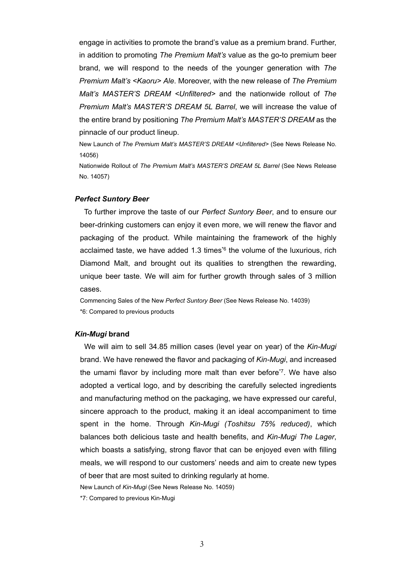engage in activities to promote the brand's value as a premium brand. Further, in addition to promoting *The Premium Malt's* value as the go-to premium beer brand, we will respond to the needs of the younger generation with *The Premium Malt's <Kaoru> Ale*. Moreover, with the new release of *The Premium Malt's MASTER'S DREAM <Unfiltered>* and the nationwide rollout of *The Premium Malt's MASTER'S DREAM 5L Barrel*, we will increase the value of the entire brand by positioning *The Premium Malt's MASTER'S DREAM* as the pinnacle of our product lineup.

New Launch of *The Premium Malt's MASTER'S DREAM <Unfiltered>* ([See News Release No.](https://www.suntory.co.jp/news/article/14056.html)  [14056\)](https://www.suntory.co.jp/news/article/14056.html)

Nationwide Rollout of *The Premium Malt's MASTER'S DREAM 5L Barrel* [\(See News Release](https://www.suntory.co.jp/news/article/14057.html)  [No. 14057](https://www.suntory.co.jp/news/article/14057.html))

#### *Perfect Suntory Beer*

To further improve the taste of our *Perfect Suntory Beer*, and to ensure our beer-drinking customers can enjoy it even more, we will renew the flavor and packaging of the product. While maintaining the framework of the highly acclaimed taste, we have added 1.3 times<sup>\*6</sup> the volume of the luxurious. rich Diamond Malt, and brought out its qualities to strengthen the rewarding, unique beer taste. We will aim for further growth through sales of 3 million cases.

Commencing Sales of the New *Perfect Suntory Beer* ([See News Release No. 14039](https://www.suntory.co.jp/news/article/14039.html)) \*6: Compared to previous products

#### *Kin-Mugi* **brand**

We will aim to sell 34.85 million cases (level year on year) of the *Kin-Mugi* brand. We have renewed the flavor and packaging of *Kin-Mugi*, and increased the umami flavor by including more malt than ever before\*7. We have also adopted a vertical logo, and by describing the carefully selected ingredients and manufacturing method on the packaging, we have expressed our careful, sincere approach to the product, making it an ideal accompaniment to time spent in the home. Through *Kin-Mugi (Toshitsu 75% reduced)*, which balances both delicious taste and health benefits, and *Kin-Mugi The Lager*, which boasts a satisfying, strong flavor that can be enjoyed even with filling meals, we will respond to our customers' needs and aim to create new types of beer that are most suited to drinking regularly at home.

New Launch of *Kin-Mugi* ([See News Release No. 14059\)](https://www.suntory.co.jp/news/article/14059.html)

\*7: Compared to previous Kin-Mugi